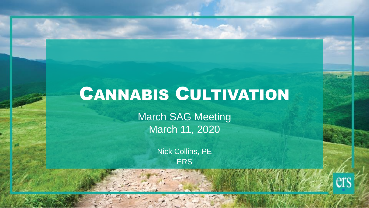### CANNABIS CULTIVATION

March SAG Meeting March 11, 2020

> Nick Collins, PE ERS

> > ers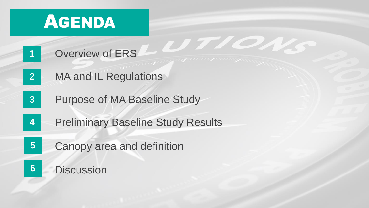

**1**

- Overview of ERS **COMPANY**
- MA and IL Regulations **2**
- Purpose of MA Baseline Study **3**
- Preliminary Baseline Study Results **4**
- Canopy area and definition **5**
- **6** Discussion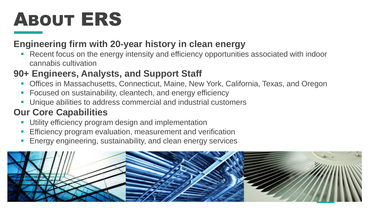# ABOUT ERS

#### **Engineering firm with 20-year history in clean energy**

■ Recent focus on the energy intensity and efficiency opportunities associated with indoor cannabis cultivation

### **90+ Engineers, Analysts, and Support Staff**

- **Offices in Massachusetts, Connecticut, Maine, New York, California, Texas, and Oregon**
- Focused on sustainability, cleantech, and energy efficiency
- Unique abilities to address commercial and industrial customers

#### **Our Core Capabilities**

- **E** Utility efficiency program design and implementation
- Efficiency program evaluation, measurement and verification
- Energy engineering, sustainability, and clean energy services

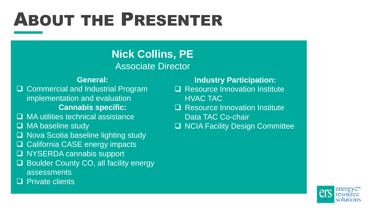# ABOUT THE PRESENTER

### **Nick Collins, PE** Associate Director

#### **General:**

- ❑ Commercial and Industrial Program implementation and evaluation **Cannabis specific:**
- MA utilities technical assistance
- ❑ MA baseline study
- ❑ Nova Scotia baseline lighting study
- ❑ California CASE energy impacts
- ❑ NYSERDA cannabis support
- Boulder County CO, all facility energy assessments
- ❑ Private clients

#### **Industry Participation:**

- ❑ Resource Innovation Institute HVAC TAC
- ❑ Resource Innovation Institute Data TAC Co-chair
- ❑ NCIA Facility Design Committee

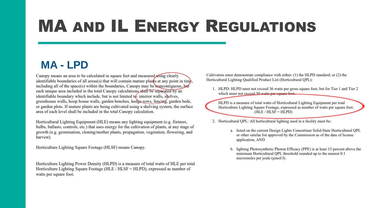### **MA - LPD**

Canopy means an area to be calculated in square feet and measured using clearly identifiable boundaries of all areas(s) that will contain mature plants at any point in time, including all of the space(s) within the boundaries, Canopy may be honcontiguous, but each unique area included in the total Canopy calculations shall be separated by an identifiable boundary which include, but is not limited  $t\phi$ : interior walls, shelves, greenhouse walls, hoop house walls, garden benches, hedge rows, fencing, garden beds, or garden plots. If mature plants are being cultivated using a shelving system, the surface area of each level shall be included in the total Canopy calculation.

Horticultural Lighting Equipment (HLE) means any lighting equipment (e.g. fixtures, bulbs, ballasts, controls, etc.) that uses energy for the cultivation of plants, at any stage of growth (e.g. germination, cloning/mother plants, propagation, vegetation, flowering, and harvest).

Horticulture Lighting Square Footage (HLSF) means Canopy.

Horticulture Lighting Power Density (HLPD) is a measure of total watts of HLE per total Horticulture Lighting Square Footage (HLE / HLSF = HLPD), expressed as number of watts per square foot.

Cultivators must demonstrate compliance with either: (1) the HLPD standard; or (2) the Horticultural Lighting Qualified Product List (Horticultural QPL):

- 1. HLPD: HLPD must not exceed 36 watts per gross square foot, but for Tier 1 and Tier 2 which must not exceed 50 watts per square foot.
- HLPD is a measure of total watts of Horticultural Lighting Equipment per total Horticulture Lighting Square Footage, expressed as number of watts per square foot.  $(HLE / HLSF = HLPD)$
- 2. Horticultural QPL: All horticultural lighting used in a facility must be:
	- a. listed on the current Design Lights Consortium Solid-State Horticultural QPL or other similar list approved by the Commission as of the date of license application, AND
	- b. lighting Photosynthetic Photon Efficacy (PPE) is at least 15 percent above the minimum Horticultural QPL threshold rounded up to the nearest 0.1 micromoles per joule (µmol/J).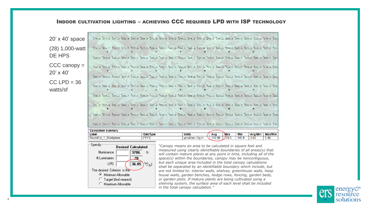#### INDOOR CULTIVATION LIGHTING – ACHIEVING CCC REQUIRED LPD WITH ISP TECHNOLOGY

| 20' x 40' space             |                                                                                                                       |  |  | 178.2 207.8 237.1 252.4 256.6 266.8 271.6 275.5 276.2 274.1 275.2 273.3 270.8 269.2 263.5 255.3 239.3 210.9 179.5 150 |  |  |  |  |  |  |  |
|-----------------------------|-----------------------------------------------------------------------------------------------------------------------|--|--|-----------------------------------------------------------------------------------------------------------------------|--|--|--|--|--|--|--|
| (28) 1,000-watt             |                                                                                                                       |  |  | 276.0 484.7 554.7 471.7 577.6 517.2 566.4 625.0 495.0 594.9 543.4 538.9 618.8 492.8 578.8 547.0 470.0 518.9 337.0 201 |  |  |  |  |  |  |  |
| <b>DE HPS</b>               |                                                                                                                       |  |  | 329.0 559.6 634.0 564.5 676.7 605.2 666.4 711.5 589.7 694.9 629.7 639.5 707.0 586.8 675.2 632.7 559.4 596.3 390.0 237 |  |  |  |  |  |  |  |
| $CCC$ canopy =<br>20' x 40' |                                                                                                                       |  |  | 349.4 585.6 673.5 595.2 707.2 644.5 701.4 758.7 627.0 731.0 671.9 671.9 751.6 624.3 712.5 671.7 589.6 623.5 414.3 255 |  |  |  |  |  |  |  |
|                             |                                                                                                                       |  |  | 358.3 593.0 673.0 607.9 719.0 651.3 714.4 758.4 638.0 741.3 678.3 687.8 752.5 633.2 721.1 676.9 600.6 630.6 419.2 261 |  |  |  |  |  |  |  |
| $CC$ LPD = 36<br>watts/sf   |                                                                                                                       |  |  | 356.4 594.6 682.8 607.0 717.4 656.1 713.0 770.0 640.7 742.0 685.3 683.5 764.8 635.7 723.4 682.4 599.5 631.5 422.6 261 |  |  |  |  |  |  |  |
|                             |                                                                                                                       |  |  | 346.9 584.1 663.2 595.7 708.4 638.9 702.2 746.8 625.3 729.6 665.2 675.8 741.6 620.2 708.5 664.9 590.6 621.9 410.6 252 |  |  |  |  |  |  |  |
|                             | 321.8 557.4 640.2 560.1 672.1 604.6 661.6 721.6 588.2 695.1 633.1 631.8 716.6 584.5 676.2 636.5 555.0 597.0 390.9 233 |  |  |                                                                                                                       |  |  |  |  |  |  |  |
|                             |                                                                                                                       |  |  | 268.3 477.3 536.5 463.4 574.0 501.2 561.5 603.4 483.6 588.5 525.6 535.7 600.9 481.0 570.2 529.0 463.4 513.0 326.8 195 |  |  |  |  |  |  |  |
|                             |                                                                                                                       |  |  | 168.3 197.7 223.2 238.6 245.7 249.7 257.7 260.7 261.1 261.8 257.2 258.6 257.4 253.1 251.0 238.9 226.4 201.5 168.8 140 |  |  |  |  |  |  |  |
|                             | <b>Calculation Summary</b>                                                                                            |  |  |                                                                                                                       |  |  |  |  |  |  |  |

| <b>Calculation Summary</b>                                        |                  |                                  |       |        |      |                |                         |
|-------------------------------------------------------------------|------------------|----------------------------------|-------|--------|------|----------------|-------------------------|
| Label                                                             | <b>CalcType</b>  | <b>Units</b>                     | Avo   | Max    | Min  | <b>Ava/Min</b> | Max/Min                 |
| <b>prkplane</b><br>RoomE:<br>. .<br>$\overline{\phantom{a}}$<br>_ | <b>DDEP</b><br>- | . ım<br>m<br>າດນ<br>o u<br>تاتات | 12.08 | י ∪.0™ | 40.9 | 3.63           | $\overline{AB}$<br>5.4t |
|                                                                   |                  |                                  |       |        |      |                |                         |

| Specify                            | <b>Desired Calculated</b> |       |           |
|------------------------------------|---------------------------|-------|-----------|
| Illuminance                        |                           | 3786. | fc.       |
| # Luminaires                       |                           | 28    |           |
| LPD                                |                           | 36.85 | $W_{Ia2}$ |
| The desired Criterion is the:      |                           |       |           |
| <b>E</b> Minimum Allowable         |                           |       |           |
| $\heartsuit$ Target (find nearest) |                           |       |           |
|                                    | Maximum Allowable         |       |           |

*"Canopy means an area to be calculated in square feet and measured using clearly identifiable boundaries of all areas(s) that will contain mature plants at any point in time, including all of the space(s) within the boundaries, canopy may be noncontiguous, but each unique area included in the total canopy calculations shall be separated by an identifiable boundary which include, but are not limited to: interior walls, shelves, greenhouse walls, hoop house walls, garden benches, hedge rows, fencing, garden beds, or garden plots. If mature plants are being cultivated using a shelving system, the surface area of each level shall be included in the total canopy calculation."*

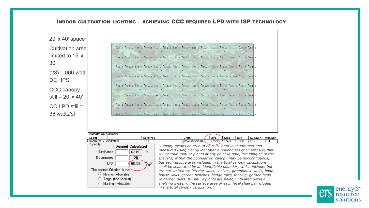#### INDOOR CULTIVATION LIGHTING – ACHIEVING CCC REQUIRED LPD WITH ISP TECHNOLOGY

20' x 40' space Cultivation area limited to 15' x 30' (28) 1,000-watt DE HPS CCC canopy  $still = 20' \times 40'$  $CC$  LPD still  $=$ 36 watts/sf

|        | 685.0 679.5 734.0 757.3 717.0 784.4 689.8 754.7 696.3 756.5 713.7 745.0 747.1 683.1 722 9 |        |                |  |  | ▣      | 同 |  |  |
|--------|-------------------------------------------------------------------------------------------|--------|----------------|--|--|--------|---|--|--|
|        | 746.9 735.4 801.2 816.6 787.9 840.7 755.3 823.8 757.5 823.3 773.2 812.7 804.6 752.4 768.9 |        |                |  |  |        |   |  |  |
| 回      | 770.5 759.2 821.3 842.7 802.7 871.5 773.7 837.4 779.0 843.6 797.2 832.1 830.9 764.9 804.5 | $\Box$ | $\blacksquare$ |  |  | $\Box$ |   |  |  |
|        | 771 0 758 6 824 9 839 0 813 3 863 1 780 1 846 6 782 0 845 9 796 7 835 0 827 7 775 2 793 7 |        |                |  |  |        |   |  |  |
| $\Box$ | 772.1 763.5 824.8 845.6 806.8 874.3 777.0 840.1 782.3 846.3 801.0 834.7 832.2 768.7 804.0 | $\Box$ | 回              |  |  | $\Box$ |   |  |  |
|        | 761 1 745 4 811 0 824 4 798 2 849 1 762 7 830 5 764 5 831 9 781 3 820 5 813 5 761 8 783 6 |        |                |  |  |        |   |  |  |
| $\Box$ | 736.1 726.0 786.5 806.1 765.5 834.1 736.1 803.4 741.1 807.8 759.2 796.9 795.3 731.3 769.3 |        |                |  |  |        | 回 |  |  |
|        | 668.8 650.6 711.4 724.7 696.5 747.5 662.5 733.5 664.4 730.5 679.7 720.5 713.7 664.5 686 4 |        |                |  |  |        |   |  |  |

| <b>CalcType</b> | Units                                           | Avg        | <b>Max</b>                   | Min   | Avg/Min | ax/Mir<br>Max   |
|-----------------|-------------------------------------------------|------------|------------------------------|-------|---------|-----------------|
| <b>DDEP</b>     | um <sup>2</sup><br>co.<br>101/Sec-<br><b>UU</b> | OF<br>u.ou | 0742<br>$\mathbf{O}I$<br>т.ч | 650.6 | 1.10    | $\sim$<br>יט. ו |
|                 |                                                 |            |                              |       |         |                 |

| Specify                        | <b>Desired Calculated</b> |       |    |
|--------------------------------|---------------------------|-------|----|
| Illuminance                    |                           | 6219. | fc |
| # Luminaires                   |                           | 28    |    |
| LPD                            |                           | 65.52 |    |
| The desired Criterion is the:  |                           |       |    |
| ⊙ Minimum Allowable            |                           |       |    |
| <b>C</b> Target (find nearest) |                           |       |    |
|                                | Maximum Allowable         |       |    |
|                                |                           |       |    |

*"Canopy means an area to be calculated in square feet and measured using clearly identifiable boundaries of all areas(s) that will contain mature plants at any point in time, including all of the space(s) within the boundaries, canopy may be noncontiguous, but each unique area included in the total canopy calculations shall be separated by an identifiable boundary which include, but are not limited to: interior walls, shelves, greenhouse walls, hoop house walls, garden benches, hedge rows, fencing, garden beds, or garden plots. If mature plants are being cultivated using a shelving system, the surface area of each level shall be included in the total canopy calculation."*

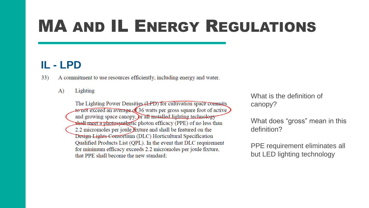### **IL - LPD**

 $33)$ A commitment to use resources efficiently, including energy and water.

 $\bf{A}$ Lighting

> The Lighting Power Densities (LPD) for cultivation space commits  $\frac{1}{2}$  to not exceed an average of 36 watts per gross square foot of active and growing space canopy, or all installed lighting technology shall meet a photosynthetic photon efficacy (PPE) of no less than 2.2 micromoles per joule lixture and shall be featured on the Design Lights Consortium (DLC) Horticultural Specification Qualified Products List (QPL). In the event that DLC requirement for minimum efficacy exceeds 2.2 micromoles per joule fixture, that PPE shall become the new standard:

What is the definition of canopy?

What does "gross" mean in this definition?

PPE requirement eliminates all but LED lighting technology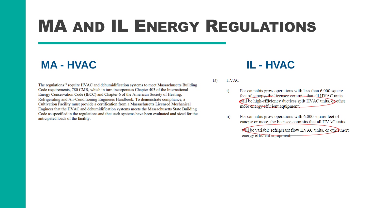### **MA - HVAC IL - HVAC**

The regulations<sup>10</sup> require HVAC and dehumidification systems to meet Massachusetts Building Code requirements, 780 CMR, which in turn incorporates Chapter 403 of the International Energy Conservation Code (IECC) and Chapter 6 of the American Society of Heating, Refrigerating and Air-Conditioning Engineers Handbook. To demonstrate compliance, a Cultivation Facility must provide a certification from a Massachusetts Licensed Mechanical Engineer that the HVAC and dehumidification systems meets the Massachusetts State Building Code as specified in the regulations and that such systems have been evaluated and sized for the anticipated loads of the facility.

#### $B)$ **HVAC**

- For cannabis grow operations with less than 6,000 square  $\ddot{\mathbf{i}}$ feet of canopy, the licensee commits that all HVAC units will be high-efficiency ductless split HVAC units, opother more energy efficient equipment;
- For cannabis grow operations with 6,000 square feet of  $\overline{ii}$ canopy or more, the licensee commits that all HVAC units

will be variable refrigerant flow HVAC units, or other more energy efficient equipment;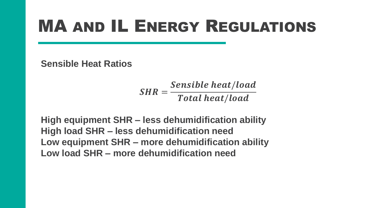**Sensible Heat Ratios**

 $SHR =$ Sensible heat/load Total heat/load

**High equipment SHR – less dehumidification ability High load SHR – less dehumidification need Low equipment SHR – more dehumidification ability Low load SHR – more dehumidification need**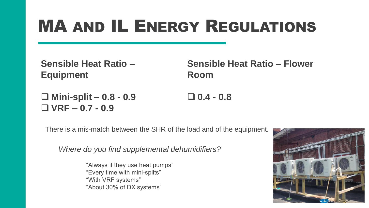**Sensible Heat Ratio – Equipment**

**Sensible Heat Ratio – Flower Room**

❑ **Mini-split – 0.8 - 0.9** ❑ **VRF – 0.7 - 0.9**

❑ **0.4 - 0.8**

There is a mis-match between the SHR of the load and of the equipment.

*Where do you find supplemental dehumidifiers?*

"Always if they use heat pumps" "Every time with mini-splits" "With VRF systems" "About 30% of DX systems"

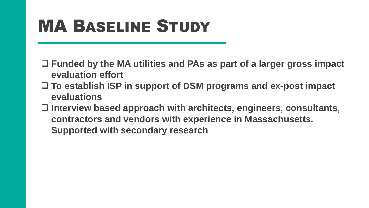### MA BASELINE STUDY

- ❑ **Funded by the MA utilities and PAs as part of a larger gross impact evaluation effort**
- ❑ **To establish ISP in support of DSM programs and ex-post impact evaluations**
- ❑ **Interview based approach with architects, engineers, consultants, contractors and vendors with experience in Massachusetts. Supported with secondary research**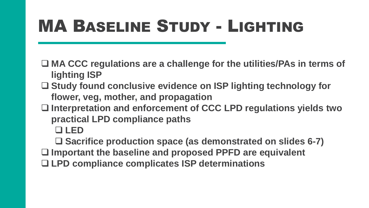## MA BASELINE STUDY - LIGHTING

- ❑ **MA CCC regulations are a challenge for the utilities/PAs in terms of lighting ISP**
- ❑ **Study found conclusive evidence on ISP lighting technology for flower, veg, mother, and propagation**
- ❑ **Interpretation and enforcement of CCC LPD regulations yields two practical LPD compliance paths**
	- ❑ **LED**

❑ **Sacrifice production space (as demonstrated on slides 6-7)** ❑ **Important the baseline and proposed PPFD are equivalent** ❑ **LPD compliance complicates ISP determinations**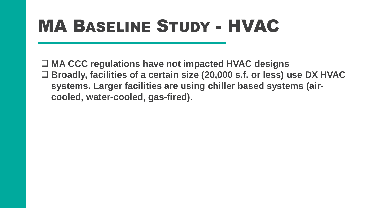## MA BASELINE STUDY - HVAC

❑ **MA CCC regulations have not impacted HVAC designs** ❑ **Broadly, facilities of a certain size (20,000 s.f. or less) use DX HVAC systems. Larger facilities are using chiller based systems (aircooled, water-cooled, gas-fired).**